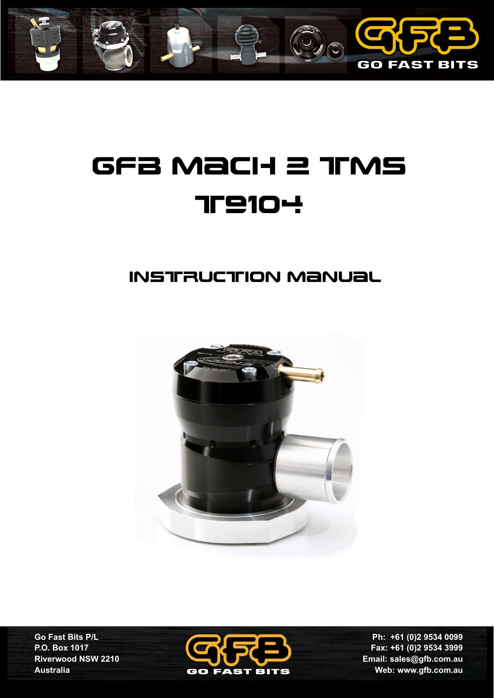

# GFB Mach 2 TMS **TP104**

## instruction manual



**Go Fast Bits P/L P.O. Box 1017 Riverwood NSW 2210 Australia**



**Ph: +61 (0)2 9534 0099 Fax: +61 (0)2 9534 3999 Email: sales@gfb.com.au Web: www.gfb.com.au**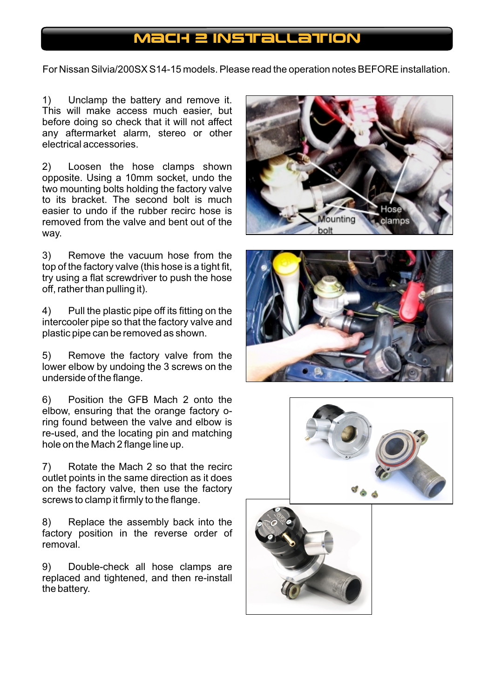#### MacH 2 INSTRULATION

For Nissan Silvia/200SX S14-15 models. Please read the operation notes BEFORE installation.

1) Unclamp the battery and remove it. This will make access much easier, but before doing so check that it will not affect any aftermarket alarm, stereo or other electrical accessories.

2) Loosen the hose clamps shown opposite. Using a 10mm socket, undo the two mounting bolts holding the factory valve to its bracket. The second bolt is much easier to undo if the rubber recirc hose is removed from the valve and bent out of the way.

3) Remove the vacuum hose from the top of the factory valve (this hose is a tight fit, try using a flat screwdriver to push the hose off, rather than pulling it).

4) Pull the plastic pipe off its fitting on the intercooler pipe so that the factory valve and plastic pipe can be removed as shown.

5) Remove the factory valve from the lower elbow by undoing the 3 screws on the underside of the flange.

6) Position the GFB Mach 2 onto the elbow, ensuring that the orange factory oring found between the valve and elbow is re-used, and the locating pin and matching hole on the Mach 2 flange line up.

7) Rotate the Mach 2 so that the recirc outlet points in the same direction as it does on the factory valve, then use the factory screws to clamp it firmly to the flange.

8) Replace the assembly back into the factory position in the reverse order of removal.

9) Double-check all hose clamps are replaced and tightened, and then re-install the battery.







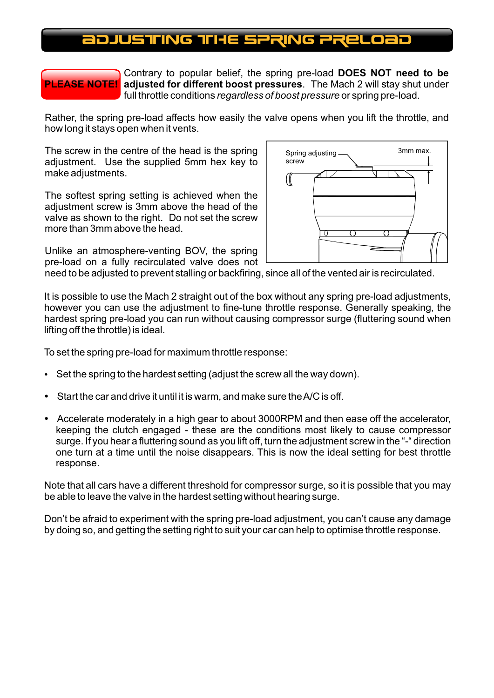#### ADJUSTING THE SPRING P

## **PLEASE NOTE!**

Contrary to popular belief, the spring pre-load **DOES NOT need to be adjusted for different boost pressures**. The Mach 2 will stay shut under full throttle conditions *regardless of boost pressure* or spring pre-load.

Rather, the spring pre-load affects how easily the valve opens when you lift the throttle, and how long it stays open when it vents.

The screw in the centre of the head is the spring adjustment. Use the supplied 5mm hex key to make adjustments.

The softest spring setting is achieved when the adjustment screw is 3mm above the head of the valve as shown to the right. Do not set the screw more than 3mm above the head.



Unlike an atmosphere-venting BOV, the spring pre-load on a fully recirculated valve does not

need to be adjusted to prevent stalling or backfiring, since all of the vented air is recirculated.

It is possible to use the Mach 2 straight out of the box without any spring pre-load adjustments, however you can use the adjustment to fine-tune throttle response. Generally speaking, the hardest spring pre-load you can run without causing compressor surge (fluttering sound when lifting off the throttle) is ideal.

- To set the spring pre-load for maximum throttle response:<br>• Set the spring to the hardest setting (adjust the screw a
- Set the spring to the hardest setting (adjust the screw all the way down).<br>• Start the car and drive it until it is warm, and make sure the A/C is off.
- ?Start the car and drive it until it is warm, and make sure the A/C is off. Accelerate moderately in a high gear to about 3000RPM and then ease off the accelerator, keeping the clutch engaged - these are the conditions most likely to cause compressor surge. If you hear a fluttering sound as you lift off, turn the adjustment screw in the "-" direction one turn at a time until the noise disappears. This is now the ideal setting for best throttle response.

Note that all cars have a different threshold for compressor surge, so it is possible that you may be able to leave the valve in the hardest setting without hearing surge.

Don't be afraid to experiment with the spring pre-load adjustment, you can't cause any damage by doing so, and getting the setting right to suit your car can help to optimise throttle response.